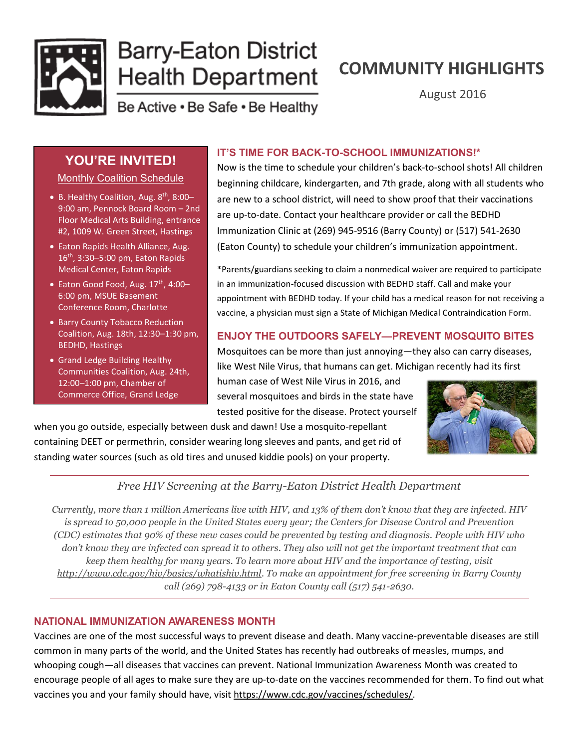

# **Barry-Eaton District Health Department**

## **COMMUNITY HIGHLIGHTS**

August 2016

Be Active . Be Safe . Be Healthy

### **YOU'RE INVITED!**

Monthly Coalition Schedule

- B. Healthy Coalition, Aug. 8<sup>th</sup>, 8:00-9:00 am, Pennock Board Room – 2nd Floor Medical Arts Building, entrance #2, 1009 W. Green Street, Hastings
- Eaton Rapids Health Alliance, Aug. 16th, 3:30–5:00 pm, Eaton Rapids Medical Center, Eaton Rapids
- Eaton Good Food, Aug.  $17<sup>th</sup>$ , 4:00-6:00 pm, MSUE Basement Conference Room, Charlotte
- Barry County Tobacco Reduction Coalition, Aug. 18th, 12:30–1:30 pm, BEDHD, Hastings
- Grand Ledge Building Healthy Communities Coalition, Aug. 24th, 12:00–1:00 pm, Chamber of Commerce Office, Grand Ledge

#### **IT'S TIME FOR BACK-TO-SCHOOL IMMUNIZATIONS!\***

Now is the time to schedule your children's back-to-school shots! All children beginning childcare, kindergarten, and 7th grade, along with all students who are new to a school district, will need to show proof that their vaccinations are up-to-date. Contact your healthcare provider or call the BEDHD Immunization Clinic at (269) 945-9516 (Barry County) or (517) 541-2630 (Eaton County) to schedule your children's immunization appointment.

\*Parents/guardians seeking to claim a nonmedical waiver are required to participate in an immunization-focused discussion with BEDHD staff. Call and make your appointment with BEDHD today. If your child has a medical reason for not receiving a vaccine, a physician must sign a State of Michigan Medical Contraindication Form.

#### **ENJOY THE OUTDOORS SAFELY—PREVENT MOSQUITO BITES**

Mosquitoes can be more than just annoying—they also can carry diseases, like West Nile Virus, that humans can get. Michigan recently had its first

human case of West Nile Virus in 2016, and several mosquitoes and birds in the state have tested positive for the disease. Protect yourself

when you go outside, especially between dusk and dawn! Use a mosquito-repellant containing DEET or permethrin, consider wearing long sleeves and pants, and get rid of standing water sources (such as old tires and unused kiddie pools) on your property.



#### *Free HIV Screening at the Barry-Eaton District Health Department*

*Currently, more than 1 million Americans live with HIV, and 13% of them don't know that they are infected. HIV is spread to 50,000 people in the United States every year; the Centers for Disease Control and Prevention (CDC) estimates that 90% of these new cases could be prevented by testing and diagnosis. People with HIV who don't know they are infected can spread it to others. They also will not get the important treatment that can keep them healthy for many years. To learn more about HIV and the importance of testing, visit [http://www.cdc.gov/hiv/basics/whatishiv.html.](http://www.cdc.gov/hiv/basics/whatishiv.html) To make an appointment for free screening in Barry County call (269) 798-4133 or in Eaton County call (517) 541-2630.*

#### **NATIONAL IMMUNIZATION AWARENESS MONTH**

Vaccines are one of the most successful ways to prevent disease and death. Many vaccine-preventable diseases are still common in many parts of the world, and the United States has recently had outbreaks of measles, mumps, and whooping cough—all diseases that vaccines can prevent. National Immunization Awareness Month was created to encourage people of all ages to make sure they are up-to-date on the vaccines recommended for them. To find out what vaccines you and your family should have, visit [https://www.cdc.gov/vaccines/schedules/.](https://www.cdc.gov/vaccines/schedules/)